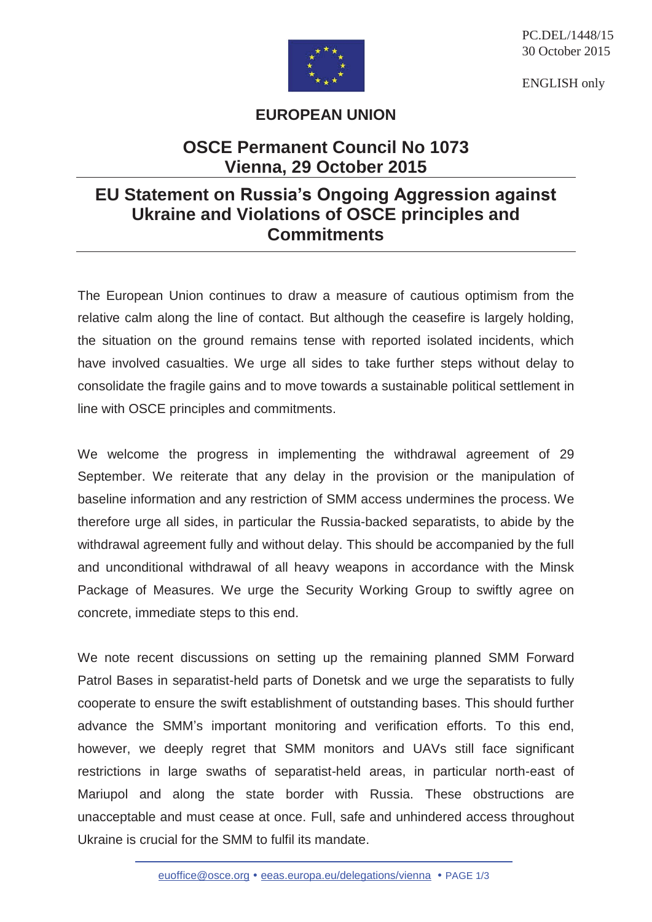

PC.DEL/1448/15 30 October 2015

ENGLISH only

## **EUROPEAN UNION**

## **OSCE Permanent Council No 1073 Vienna, 29 October 2015**

## **EU Statement on Russia's Ongoing Aggression against Ukraine and Violations of OSCE principles and Commitments**

The European Union continues to draw a measure of cautious optimism from the relative calm along the line of contact. But although the ceasefire is largely holding, the situation on the ground remains tense with reported isolated incidents, which have involved casualties. We urge all sides to take further steps without delay to consolidate the fragile gains and to move towards a sustainable political settlement in line with OSCE principles and commitments.

We welcome the progress in implementing the withdrawal agreement of 29 September. We reiterate that any delay in the provision or the manipulation of baseline information and any restriction of SMM access undermines the process. We therefore urge all sides, in particular the Russia-backed separatists, to abide by the withdrawal agreement fully and without delay. This should be accompanied by the full and unconditional withdrawal of all heavy weapons in accordance with the Minsk Package of Measures. We urge the Security Working Group to swiftly agree on concrete, immediate steps to this end.

We note recent discussions on setting up the remaining planned SMM Forward Patrol Bases in separatist-held parts of Donetsk and we urge the separatists to fully cooperate to ensure the swift establishment of outstanding bases. This should further advance the SMM's important monitoring and verification efforts. To this end, however, we deeply regret that SMM monitors and UAVs still face significant restrictions in large swaths of separatist-held areas, in particular north-east of Mariupol and along the state border with Russia. These obstructions are unacceptable and must cease at once. Full, safe and unhindered access throughout Ukraine is crucial for the SMM to fulfil its mandate.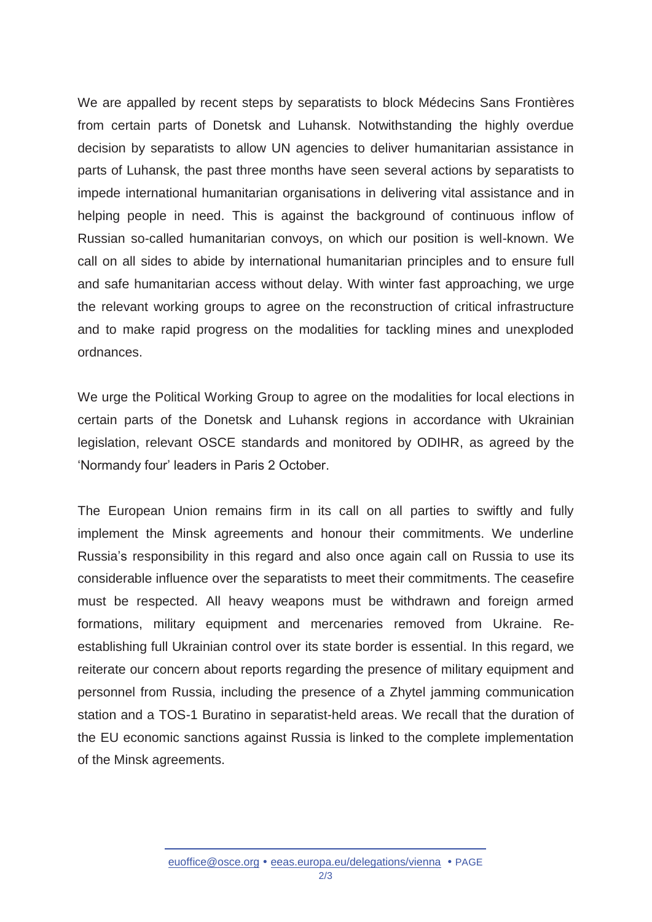We are appalled by recent steps by separatists to block Médecins Sans Frontières from certain parts of Donetsk and Luhansk. Notwithstanding the highly overdue decision by separatists to allow UN agencies to deliver humanitarian assistance in parts of Luhansk, the past three months have seen several actions by separatists to impede international humanitarian organisations in delivering vital assistance and in helping people in need. This is against the background of continuous inflow of Russian so-called humanitarian convoys, on which our position is well-known. We call on all sides to abide by international humanitarian principles and to ensure full and safe humanitarian access without delay. With winter fast approaching, we urge the relevant working groups to agree on the reconstruction of critical infrastructure and to make rapid progress on the modalities for tackling mines and unexploded ordnances.

We urge the Political Working Group to agree on the modalities for local elections in certain parts of the Donetsk and Luhansk regions in accordance with Ukrainian legislation, relevant OSCE standards and monitored by ODIHR, as agreed by the 'Normandy four' leaders in Paris 2 October.

The European Union remains firm in its call on all parties to swiftly and fully implement the Minsk agreements and honour their commitments. We underline Russia's responsibility in this regard and also once again call on Russia to use its considerable influence over the separatists to meet their commitments. The ceasefire must be respected. All heavy weapons must be withdrawn and foreign armed formations, military equipment and mercenaries removed from Ukraine. Reestablishing full Ukrainian control over its state border is essential. In this regard, we reiterate our concern about reports regarding the presence of military equipment and personnel from Russia, including the presence of a Zhytel jamming communication station and a TOS-1 Buratino in separatist-held areas. We recall that the duration of the EU economic sanctions against Russia is linked to the complete implementation of the Minsk agreements.